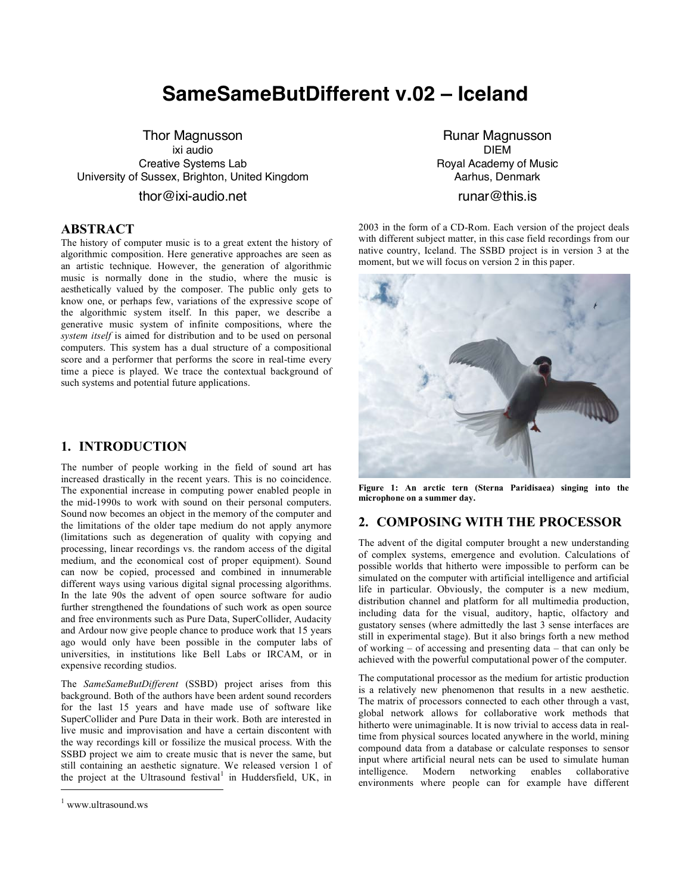# **SameSameButDifferent v.02 – Iceland**

Thor Magnusson ixi audio Creative Systems Lab University of Sussex, Brighton, United Kingdom thor@ixi-audio.net

## **ABSTRACT**

The history of computer music is to a great extent the history of algorithmic composition. Here generative approaches are seen as an artistic technique. However, the generation of algorithmic music is normally done in the studio, where the music is aesthetically valued by the composer. The public only gets to know one, or perhaps few, variations of the expressive scope of the algorithmic system itself. In this paper, we describe a generative music system of infinite compositions, where the *system itself* is aimed for distribution and to be used on personal computers. This system has a dual structure of a compositional score and a performer that performs the score in real-time every time a piece is played. We trace the contextual background of such systems and potential future applications.

## **1. INTRODUCTION**

The number of people working in the field of sound art has increased drastically in the recent years. This is no coincidence. The exponential increase in computing power enabled people in the mid-1990s to work with sound on their personal computers. Sound now becomes an object in the memory of the computer and the limitations of the older tape medium do not apply anymore (limitations such as degeneration of quality with copying and processing, linear recordings vs. the random access of the digital medium, and the economical cost of proper equipment). Sound can now be copied, processed and combined in innumerable different ways using various digital signal processing algorithms. In the late 90s the advent of open source software for audio further strengthened the foundations of such work as open source and free environments such as Pure Data, SuperCollider, Audacity and Ardour now give people chance to produce work that 15 years ago would only have been possible in the computer labs of universities, in institutions like Bell Labs or IRCAM, or in expensive recording studios.

The *SameSameButDifferent* (SSBD) project arises from this background. Both of the authors have been ardent sound recorders for the last 15 years and have made use of software like SuperCollider and Pure Data in their work. Both are interested in live music and improvisation and have a certain discontent with the way recordings kill or fossilize the musical process. With the SSBD project we aim to create music that is never the same, but still containing an aesthetic signature. We released version 1 of the project at the Ultrasound festival<sup>1</sup> in Huddersfield, UK, in

l

Runar Magnusson DIEM Royal Academy of Music Aarhus, Denmark

# runar@this.is

2003 in the form of a CD-Rom. Each version of the project deals with different subject matter, in this case field recordings from our native country, Iceland. The SSBD project is in version 3 at the moment, but we will focus on version 2 in this paper.



**Figure 1: An arctic tern (Sterna Paridisaea) singing into the microphone on a summer day.**

# **2. COMPOSING WITH THE PROCESSOR**

The advent of the digital computer brought a new understanding of complex systems, emergence and evolution. Calculations of possible worlds that hitherto were impossible to perform can be simulated on the computer with artificial intelligence and artificial life in particular. Obviously, the computer is a new medium, distribution channel and platform for all multimedia production, including data for the visual, auditory, haptic, olfactory and gustatory senses (where admittedly the last 3 sense interfaces are still in experimental stage). But it also brings forth a new method of working – of accessing and presenting data – that can only be achieved with the powerful computational power of the computer.

The computational processor as the medium for artistic production is a relatively new phenomenon that results in a new aesthetic. The matrix of processors connected to each other through a vast, global network allows for collaborative work methods that hitherto were unimaginable. It is now trivial to access data in realtime from physical sources located anywhere in the world, mining compound data from a database or calculate responses to sensor input where artificial neural nets can be used to simulate human intelligence. Modern networking enables collaborative environments where people can for example have different

<sup>1</sup> www.ultrasound.ws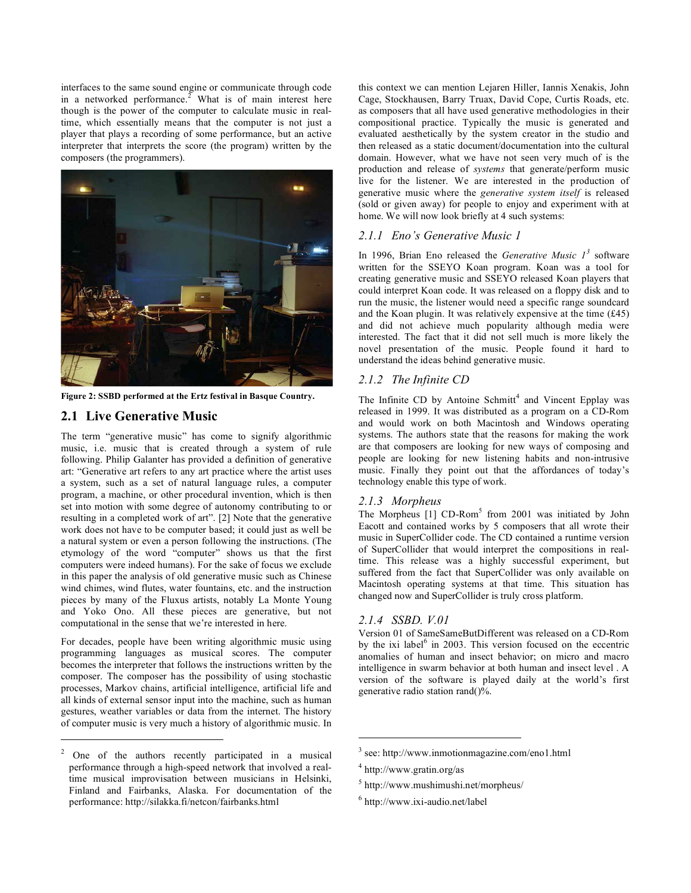interfaces to the same sound engine or communicate through code in a networked performance.<sup>2</sup> What is of main interest here though is the power of the computer to calculate music in realtime, which essentially means that the computer is not just a player that plays a recording of some performance, but an active interpreter that interprets the score (the program) written by the composers (the programmers).



**Figure 2: SSBD performed at the Ertz festival in Basque Country.**

# **2.1 Live Generative Music**

j

The term "generative music" has come to signify algorithmic music, i.e. music that is created through a system of rule following. Philip Galanter has provided a definition of generative art: "Generative art refers to any art practice where the artist uses a system, such as a set of natural language rules, a computer program, a machine, or other procedural invention, which is then set into motion with some degree of autonomy contributing to or resulting in a completed work of art". [2] Note that the generative work does not have to be computer based; it could just as well be a natural system or even a person following the instructions. (The etymology of the word "computer" shows us that the first computers were indeed humans). For the sake of focus we exclude in this paper the analysis of old generative music such as Chinese wind chimes, wind flutes, water fountains, etc. and the instruction pieces by many of the Fluxus artists, notably La Monte Young and Yoko Ono. All these pieces are generative, but not computational in the sense that we're interested in here.

For decades, people have been writing algorithmic music using programming languages as musical scores. The computer becomes the interpreter that follows the instructions written by the composer. The composer has the possibility of using stochastic processes, Markov chains, artificial intelligence, artificial life and all kinds of external sensor input into the machine, such as human gestures, weather variables or data from the internet. The history of computer music is very much a history of algorithmic music. In this context we can mention Lejaren Hiller, Iannis Xenakis, John Cage, Stockhausen, Barry Truax, David Cope, Curtis Roads, etc. as composers that all have used generative methodologies in their compositional practice. Typically the music is generated and evaluated aesthetically by the system creator in the studio and then released as a static document/documentation into the cultural domain. However, what we have not seen very much of is the production and release of *systems* that generate/perform music live for the listener. We are interested in the production of generative music where the *generative system itself* is released (sold or given away) for people to enjoy and experiment with at home. We will now look briefly at 4 such systems:

## *2.1.1 Eno's Generative Music 1*

In 1996, Brian Eno released the *Generative Music*  $I^3$  software written for the SSEYO Koan program. Koan was a tool for creating generative music and SSEYO released Koan players that could interpret Koan code. It was released on a floppy disk and to run the music, the listener would need a specific range soundcard and the Koan plugin. It was relatively expensive at the time (£45) and did not achieve much popularity although media were interested. The fact that it did not sell much is more likely the novel presentation of the music. People found it hard to understand the ideas behind generative music.

## *2.1.2 The Infinite CD*

The Infinite CD by Antoine Schmitt<sup>4</sup> and Vincent Epplay was released in 1999. It was distributed as a program on a CD-Rom and would work on both Macintosh and Windows operating systems. The authors state that the reasons for making the work are that composers are looking for new ways of composing and people are looking for new listening habits and non-intrusive music. Finally they point out that the affordances of today's technology enable this type of work.

#### *2.1.3 Morpheus*

The Morpheus  $[1]$  CD-Rom<sup>5</sup> from 2001 was initiated by John Eacott and contained works by 5 composers that all wrote their music in SuperCollider code. The CD contained a runtime version of SuperCollider that would interpret the compositions in realtime. This release was a highly successful experiment, but suffered from the fact that SuperCollider was only available on Macintosh operating systems at that time. This situation has changed now and SuperCollider is truly cross platform.

## *2.1.4 SSBD. V.01*

Version 01 of SameSameButDifferent was released on a CD-Rom by the ixi label $<sup>6</sup>$  in 2003. This version focused on the eccentric</sup> anomalies of human and insect behavior; on micro and macro intelligence in swarm behavior at both human and insect level . A version of the software is played daily at the world's first generative radio station rand $(y_0, \hat{y}_0)$ .

 $\overline{a}$ 

6 http://www.ixi-audio.net/label

<sup>&</sup>lt;sup>2</sup> One of the authors recently participated in a musical performance through a high-speed network that involved a realtime musical improvisation between musicians in Helsinki, Finland and Fairbanks, Alaska. For documentation of the performance: http://silakka.fi/netcon/fairbanks.html

<sup>3</sup> see: http://www.inmotionmagazine.com/eno1.html

<sup>4</sup> http://www.gratin.org/as

 $<sup>5</sup>$  http://www.mushimushi.net/morpheus/</sup>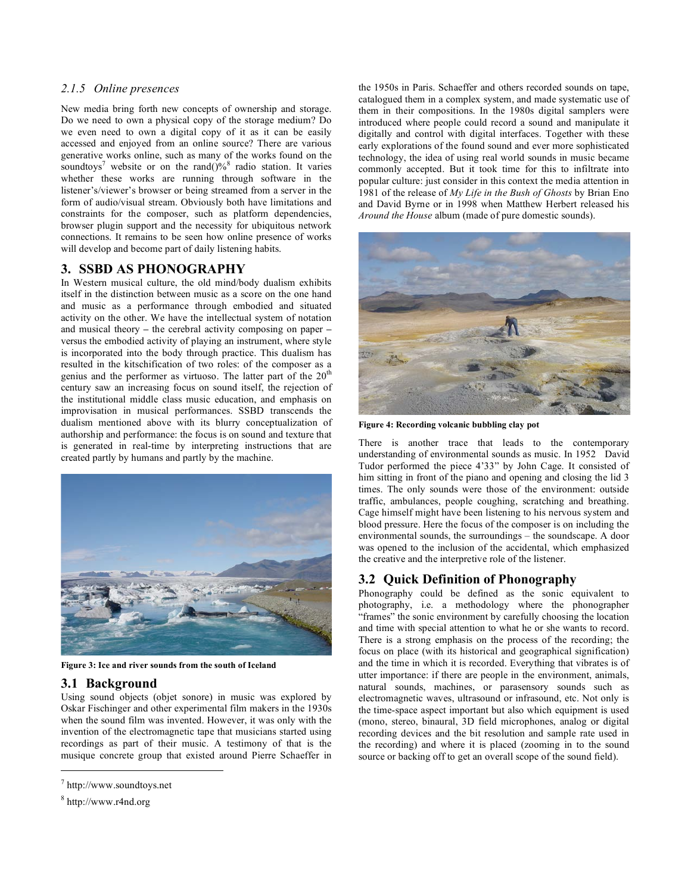## *2.1.5 Online presences*

New media bring forth new concepts of ownership and storage. Do we need to own a physical copy of the storage medium? Do we even need to own a digital copy of it as it can be easily accessed and enjoyed from an online source? There are various generative works online, such as many of the works found on the soundtoys<sup>7</sup> website or on the rand( $9\%$ <sup>8</sup> radio station. It varies whether these works are running through software in the listener's/viewer's browser or being streamed from a server in the form of audio/visual stream. Obviously both have limitations and constraints for the composer, such as platform dependencies, browser plugin support and the necessity for ubiquitous network connections. It remains to be seen how online presence of works will develop and become part of daily listening habits.

# **3. SSBD AS PHONOGRAPHY**

In Western musical culture, the old mind/body dualism exhibits itself in the distinction between music as a score on the one hand and music as a performance through embodied and situated activity on the other. We have the intellectual system of notation and musical theory **–** the cerebral activity composing on paper **–** versus the embodied activity of playing an instrument, where style is incorporated into the body through practice. This dualism has resulted in the kitschification of two roles: of the composer as a genius and the performer as virtuoso. The latter part of the  $20<sup>th</sup>$ century saw an increasing focus on sound itself, the rejection of the institutional middle class music education, and emphasis on improvisation in musical performances. SSBD transcends the dualism mentioned above with its blurry conceptualization of authorship and performance: the focus is on sound and texture that is generated in real-time by interpreting instructions that are created partly by humans and partly by the machine.



**Figure 3: Ice and river sounds from the south of Iceland**

# **3.1 Background**

Using sound objects (objet sonore) in music was explored by Oskar Fischinger and other experimental film makers in the 1930s when the sound film was invented. However, it was only with the invention of the electromagnetic tape that musicians started using recordings as part of their music. A testimony of that is the musique concrete group that existed around Pierre Schaeffer in

j

the 1950s in Paris. Schaeffer and others recorded sounds on tape, catalogued them in a complex system, and made systematic use of them in their compositions. In the 1980s digital samplers were introduced where people could record a sound and manipulate it digitally and control with digital interfaces. Together with these early explorations of the found sound and ever more sophisticated technology, the idea of using real world sounds in music became commonly accepted. But it took time for this to infiltrate into popular culture: just consider in this context the media attention in 1981 of the release of *My Life in the Bush of Ghosts* by Brian Eno and David Byrne or in 1998 when Matthew Herbert released his *Around the House* album (made of pure domestic sounds).



**Figure 4: Recording volcanic bubbling clay pot**

There is another trace that leads to the contemporary understanding of environmental sounds as music. In 1952 David Tudor performed the piece 4'33" by John Cage. It consisted of him sitting in front of the piano and opening and closing the lid 3 times. The only sounds were those of the environment: outside traffic, ambulances, people coughing, scratching and breathing. Cage himself might have been listening to his nervous system and blood pressure. Here the focus of the composer is on including the environmental sounds, the surroundings – the soundscape. A door was opened to the inclusion of the accidental, which emphasized the creative and the interpretive role of the listener.

# **3.2 Quick Definition of Phonography**

Phonography could be defined as the sonic equivalent to photography, i.e. a methodology where the phonographer "frames" the sonic environment by carefully choosing the location and time with special attention to what he or she wants to record. There is a strong emphasis on the process of the recording; the focus on place (with its historical and geographical signification) and the time in which it is recorded. Everything that vibrates is of utter importance: if there are people in the environment, animals, natural sounds, machines, or parasensory sounds such as electromagnetic waves, ultrasound or infrasound, etc. Not only is the time-space aspect important but also which equipment is used (mono, stereo, binaural, 3D field microphones, analog or digital recording devices and the bit resolution and sample rate used in the recording) and where it is placed (zooming in to the sound source or backing off to get an overall scope of the sound field).

<sup>7</sup> http://www.soundtoys.net

<sup>8</sup> http://www.r4nd.org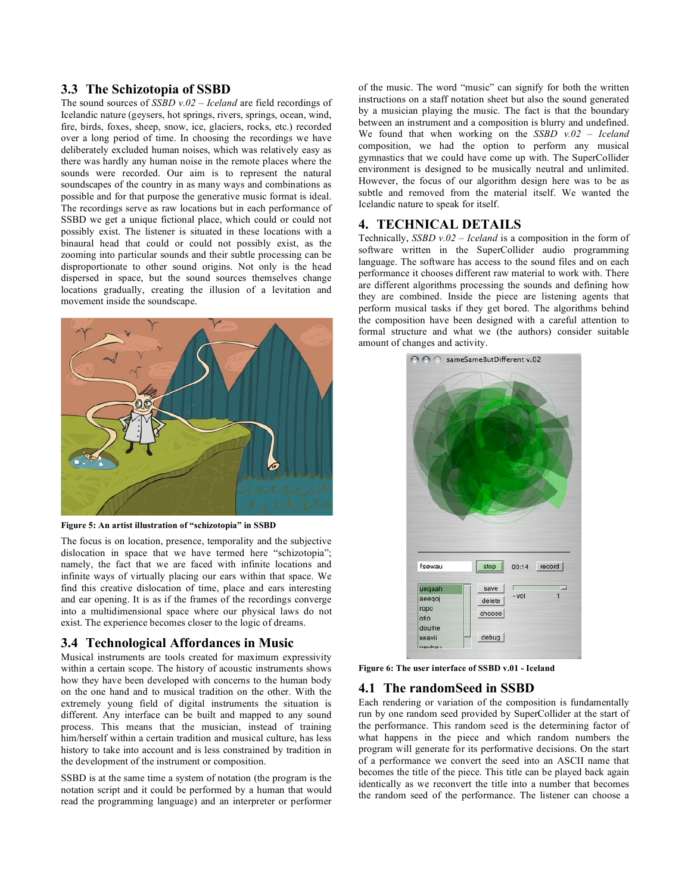### **3.3 The Schizotopia of SSBD**

The sound sources of *SSBD v.02 – Iceland* are field recordings of Icelandic nature (geysers, hot springs, rivers, springs, ocean, wind, fire, birds, foxes, sheep, snow, ice, glaciers, rocks, etc.) recorded over a long period of time. In choosing the recordings we have deliberately excluded human noises, which was relatively easy as there was hardly any human noise in the remote places where the sounds were recorded. Our aim is to represent the natural soundscapes of the country in as many ways and combinations as possible and for that purpose the generative music format is ideal. The recordings serve as raw locations but in each performance of SSBD we get a unique fictional place, which could or could not possibly exist. The listener is situated in these locations with a binaural head that could or could not possibly exist, as the zooming into particular sounds and their subtle processing can be disproportionate to other sound origins. Not only is the head dispersed in space, but the sound sources themselves change locations gradually, creating the illusion of a levitation and movement inside the soundscape.



**Figure 5: An artist illustration of "schizotopia" in SSBD**

The focus is on location, presence, temporality and the subjective dislocation in space that we have termed here "schizotopia"; namely, the fact that we are faced with infinite locations and infinite ways of virtually placing our ears within that space. We find this creative dislocation of time, place and ears interesting and ear opening. It is as if the frames of the recordings converge into a multidimensional space where our physical laws do not exist. The experience becomes closer to the logic of dreams.

## **3.4 Technological Affordances in Music**

Musical instruments are tools created for maximum expressivity within a certain scope. The history of acoustic instruments shows how they have been developed with concerns to the human body on the one hand and to musical tradition on the other. With the extremely young field of digital instruments the situation is different. Any interface can be built and mapped to any sound process. This means that the musician, instead of training him/herself within a certain tradition and musical culture, has less history to take into account and is less constrained by tradition in the development of the instrument or composition.

SSBD is at the same time a system of notation (the program is the notation script and it could be performed by a human that would read the programming language) and an interpreter or performer

of the music. The word "music" can signify for both the written instructions on a staff notation sheet but also the sound generated by a musician playing the music. The fact is that the boundary between an instrument and a composition is blurry and undefined. We found that when working on the *SSBD v.02 – Iceland* composition, we had the option to perform any musical gymnastics that we could have come up with. The SuperCollider environment is designed to be musically neutral and unlimited. However, the focus of our algorithm design here was to be as subtle and removed from the material itself. We wanted the Icelandic nature to speak for itself.

## **4. TECHNICAL DETAILS**

Technically, *SSBD v.02 – Iceland* is a composition in the form of software written in the SuperCollider audio programming language. The software has access to the sound files and on each performance it chooses different raw material to work with. There are different algorithms processing the sounds and defining how they are combined. Inside the piece are listening agents that perform musical tasks if they get bored. The algorithms behind the composition have been designed with a careful attention to formal structure and what we (the authors) consider suitable amount of changes and activity.



**Figure 6: The user interface of SSBD v.01 - Iceland**

## **4.1 The randomSeed in SSBD**

Each rendering or variation of the composition is fundamentally run by one random seed provided by SuperCollider at the start of the performance. This random seed is the determining factor of what happens in the piece and which random numbers the program will generate for its performative decisions. On the start of a performance we convert the seed into an ASCII name that becomes the title of the piece. This title can be played back again identically as we reconvert the title into a number that becomes the random seed of the performance. The listener can choose a